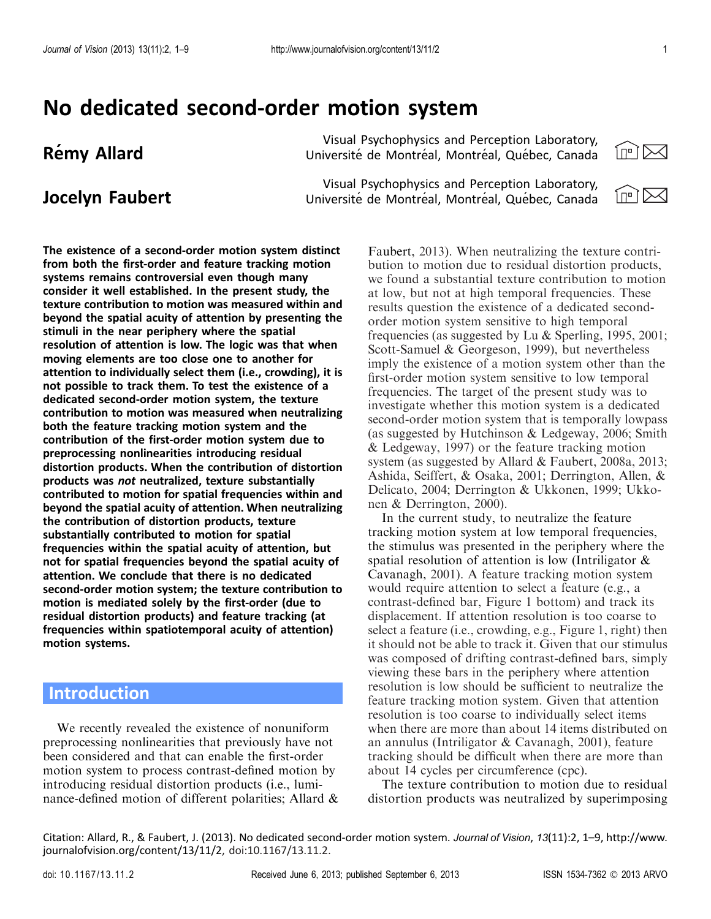# No dedicated second-order motion system

Visual Psychophysics and Perception Laboratory,<br>Montréal, Québec, Canada and Dennesité de Montréal, Montréal, Québec, Canada



Visual Psychophysics and Perception Laboratory,<br>1998 Jocelyn Faubert **1 1999 Volumersité de Montréal**, Montréal, Québec, Canada Université de Montréal, Montréal, Québec, Canada



The existence of a second-order motion system distinct from both the first-order and feature tracking motion systems remains controversial even though many consider it well established. In the present study, the texture contribution to motion was measured within and beyond the spatial acuity of attention by presenting the stimuli in the near periphery where the spatial resolution of attention is low. The logic was that when moving elements are too close one to another for attention to individually select them (i.e., crowding), it is not possible to track them. To test the existence of a dedicated second-order motion system, the texture contribution to motion was measured when neutralizing both the feature tracking motion system and the contribution of the first-order motion system due to preprocessing nonlinearities introducing residual distortion products. When the contribution of distortion products was not neutralized, texture substantially contributed to motion for spatial frequencies within and beyond the spatial acuity of attention. When neutralizing the contribution of distortion products, texture substantially contributed to motion for spatial frequencies within the spatial acuity of attention, but not for spatial frequencies beyond the spatial acuity of attention. We conclude that there is no dedicated second-order motion system; the texture contribution to motion is mediated solely by the first-order (due to residual distortion products) and feature tracking (at frequencies within spatiotemporal acuity of attention) motion systems.

## Introduction

We recently revealed the existence of nonuniform preprocessing nonlinearities that previously have not been considered and that can enable the first-order motion system to process contrast-defined motion by introducing residual distortion products (i.e., luminance-defined motion of different polarities; Allard &

Faubert, [2013\)](#page-7-0). When neutralizing the texture contribution to motion due to residual distortion products, we found a substantial texture contribution to motion at low, but not at high temporal frequencies. These results question the existence of a dedicated secondorder motion system sensitive to high temporal frequencies (as suggested by Lu & Sperling, [1995](#page-8-0), [2001](#page-8-0); Scott-Samuel & Georgeson, [1999\)](#page-8-0), but nevertheless imply the existence of a motion system other than the first-order motion system sensitive to low temporal frequencies. The target of the present study was to investigate whether this motion system is a dedicated second-order motion system that is temporally lowpass (as suggested by Hutchinson & Ledgeway, [2006](#page-8-0); Smith & Ledgeway, [1997\)](#page-8-0) or the feature tracking motion system (as suggested by Allard & Faubert, [2008a](#page-7-0), [2013](#page-7-0); Ashida, Seiffert, & Osaka, [2001](#page-7-0); Derrington, Allen, & Delicato, [2004](#page-8-0); Derrington & Ukkonen, [1999](#page-8-0); Ukkonen & Derrington, [2000\)](#page-8-0).

In the current study, to neutralize the feature tracking motion system at low temporal frequencies, the stimulus was presented in the periphery where the spatial resolution of attention is low (Intriligator & Cavanagh, [2001\)](#page-8-0). A feature tracking motion system would require attention to select a feature (e.g., a contrast-defined bar, [Figure 1](#page-1-0) bottom) and track its displacement. If attention resolution is too coarse to select a feature (i.e., crowding, e.g., [Figure 1](#page-1-0), right) then it should not be able to track it. Given that our stimulus was composed of drifting contrast-defined bars, simply viewing these bars in the periphery where attention resolution is low should be sufficient to neutralize the feature tracking motion system. Given that attention resolution is too coarse to individually select items when there are more than about 14 items distributed on an annulus (Intriligator & Cavanagh, [2001\)](#page-8-0), feature tracking should be difficult when there are more than about 14 cycles per circumference (cpc).

The texture contribution to motion due to residual distortion products was neutralized by superimposing

Citation: Allard, R., & Faubert, J. (2013). No dedicated second-order motion system. Journal of Vision, 13(11):2, 1–9, http://www. journalofvision.org/content/13/11/2, doi:10.1167/13.11.2.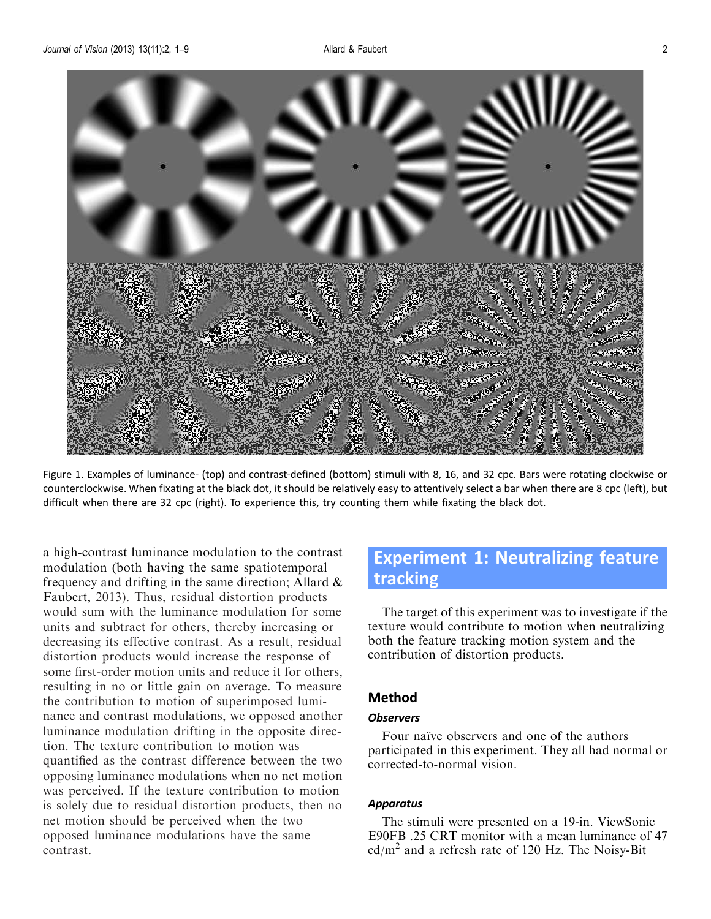<span id="page-1-0"></span>

Figure 1. Examples of luminance- (top) and contrast-defined (bottom) stimuli with 8, 16, and 32 cpc. Bars were rotating clockwise or counterclockwise. When fixating at the black dot, it should be relatively easy to attentively select a bar when there are 8 cpc (left), but difficult when there are 32 cpc (right). To experience this, try counting them while fixating the black dot.

a high-contrast luminance modulation to the contrast modulation (both having the same spatiotemporal frequency and drifting in the same direction; Allard & Faubert, [2013\)](#page-7-0). Thus, residual distortion products would sum with the luminance modulation for some units and subtract for others, thereby increasing or decreasing its effective contrast. As a result, residual distortion products would increase the response of some first-order motion units and reduce it for others, resulting in no or little gain on average. To measure the contribution to motion of superimposed luminance and contrast modulations, we opposed another luminance modulation drifting in the opposite direction. The texture contribution to motion was quantified as the contrast difference between the two opposing luminance modulations when no net motion was perceived. If the texture contribution to motion is solely due to residual distortion products, then no net motion should be perceived when the two opposed luminance modulations have the same contrast.

## Experiment 1: Neutralizing feature tracking

The target of this experiment was to investigate if the texture would contribute to motion when neutralizing both the feature tracking motion system and the contribution of distortion products.

#### Method

#### **Observers**

Four naïve observers and one of the authors participated in this experiment. They all had normal or corrected-to-normal vision.

#### Apparatus

The stimuli were presented on a 19-in. ViewSonic E90FB .25 CRT monitor with a mean luminance of 47  $cd/m<sup>2</sup>$  and a refresh rate of 120 Hz. The Noisy-Bit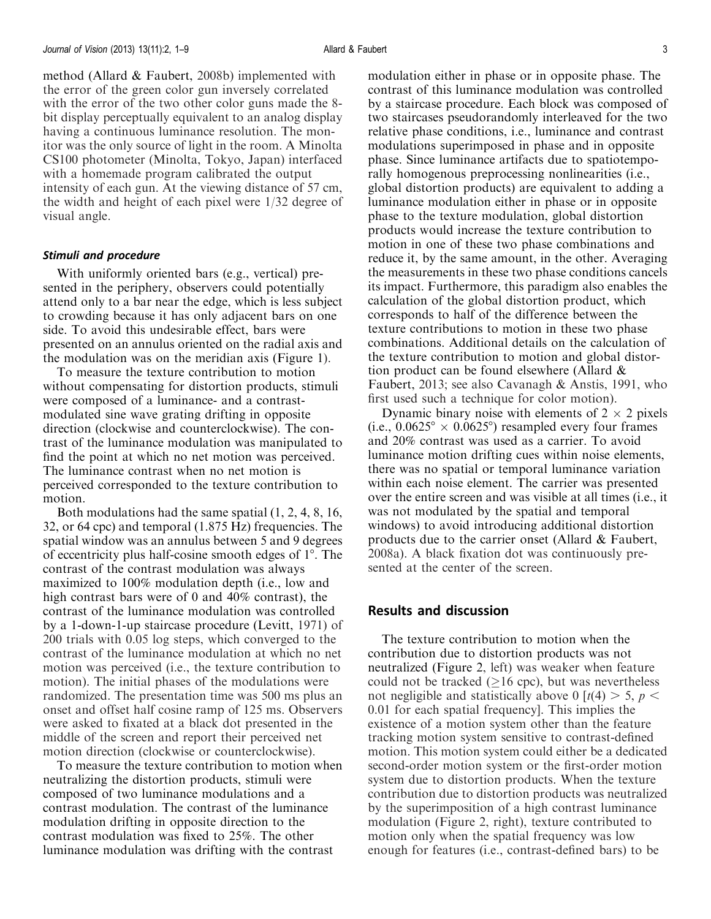method (Allard & Faubert, [2008b\)](#page-7-0) implemented with the error of the green color gun inversely correlated with the error of the two other color guns made the 8bit display perceptually equivalent to an analog display having a continuous luminance resolution. The monitor was the only source of light in the room. A Minolta CS100 photometer (Minolta, Tokyo, Japan) interfaced with a homemade program calibrated the output intensity of each gun. At the viewing distance of 57 cm, the width and height of each pixel were 1/32 degree of visual angle.

#### Stimuli and procedure

With uniformly oriented bars (e.g., vertical) presented in the periphery, observers could potentially attend only to a bar near the edge, which is less subject to crowding because it has only adjacent bars on one side. To avoid this undesirable effect, bars were presented on an annulus oriented on the radial axis and the modulation was on the meridian axis ([Figure 1\)](#page-1-0).

To measure the texture contribution to motion without compensating for distortion products, stimuli were composed of a luminance- and a contrastmodulated sine wave grating drifting in opposite direction (clockwise and counterclockwise). The contrast of the luminance modulation was manipulated to find the point at which no net motion was perceived. The luminance contrast when no net motion is perceived corresponded to the texture contribution to motion.

Both modulations had the same spatial (1, 2, 4, 8, 16, 32, or 64 cpc) and temporal (1.875 Hz) frequencies. The spatial window was an annulus between 5 and 9 degrees of eccentricity plus half-cosine smooth edges of 1<sup>o</sup>. The contrast of the contrast modulation was always maximized to 100% modulation depth (i.e., low and high contrast bars were of 0 and 40% contrast), the contrast of the luminance modulation was controlled by a 1-down-1-up staircase procedure (Levitt, [1971](#page-8-0)) of 200 trials with 0.05 log steps, which converged to the contrast of the luminance modulation at which no net motion was perceived (i.e., the texture contribution to motion). The initial phases of the modulations were randomized. The presentation time was 500 ms plus an onset and offset half cosine ramp of 125 ms. Observers were asked to fixated at a black dot presented in the middle of the screen and report their perceived net motion direction (clockwise or counterclockwise).

To measure the texture contribution to motion when neutralizing the distortion products, stimuli were composed of two luminance modulations and a contrast modulation. The contrast of the luminance modulation drifting in opposite direction to the contrast modulation was fixed to 25%. The other luminance modulation was drifting with the contrast

modulation either in phase or in opposite phase. The contrast of this luminance modulation was controlled by a staircase procedure. Each block was composed of two staircases pseudorandomly interleaved for the two relative phase conditions, i.e., luminance and contrast modulations superimposed in phase and in opposite phase. Since luminance artifacts due to spatiotemporally homogenous preprocessing nonlinearities (i.e., global distortion products) are equivalent to adding a luminance modulation either in phase or in opposite phase to the texture modulation, global distortion products would increase the texture contribution to motion in one of these two phase combinations and reduce it, by the same amount, in the other. Averaging the measurements in these two phase conditions cancels its impact. Furthermore, this paradigm also enables the calculation of the global distortion product, which corresponds to half of the difference between the texture contributions to motion in these two phase combinations. Additional details on the calculation of the texture contribution to motion and global distortion product can be found elsewhere (Allard & Faubert, [2013;](#page-7-0) see also Cavanagh & Anstis, [1991,](#page-8-0) who first used such a technique for color motion).

Dynamic binary noise with elements of  $2 \times 2$  pixels (i.e.,  $0.0625^{\circ} \times 0.0625^{\circ}$ ) resampled every four frames and 20% contrast was used as a carrier. To avoid luminance motion drifting cues within noise elements, there was no spatial or temporal luminance variation within each noise element. The carrier was presented over the entire screen and was visible at all times (i.e., it was not modulated by the spatial and temporal windows) to avoid introducing additional distortion products due to the carrier onset (Allard & Faubert, [2008a](#page-7-0)). A black fixation dot was continuously presented at the center of the screen.

#### Results and discussion

The texture contribution to motion when the contribution due to distortion products was not neutralized [\(Figure 2,](#page-3-0) left) was weaker when feature could not be tracked  $(\geq)16$  cpc), but was nevertheless not negligible and statistically above 0  $[t(4) > 5, p <$ 0.01 for each spatial frequency]. This implies the existence of a motion system other than the feature tracking motion system sensitive to contrast-defined motion. This motion system could either be a dedicated second-order motion system or the first-order motion system due to distortion products. When the texture contribution due to distortion products was neutralized by the superimposition of a high contrast luminance modulation ([Figure 2](#page-3-0), right), texture contributed to motion only when the spatial frequency was low enough for features (i.e., contrast-defined bars) to be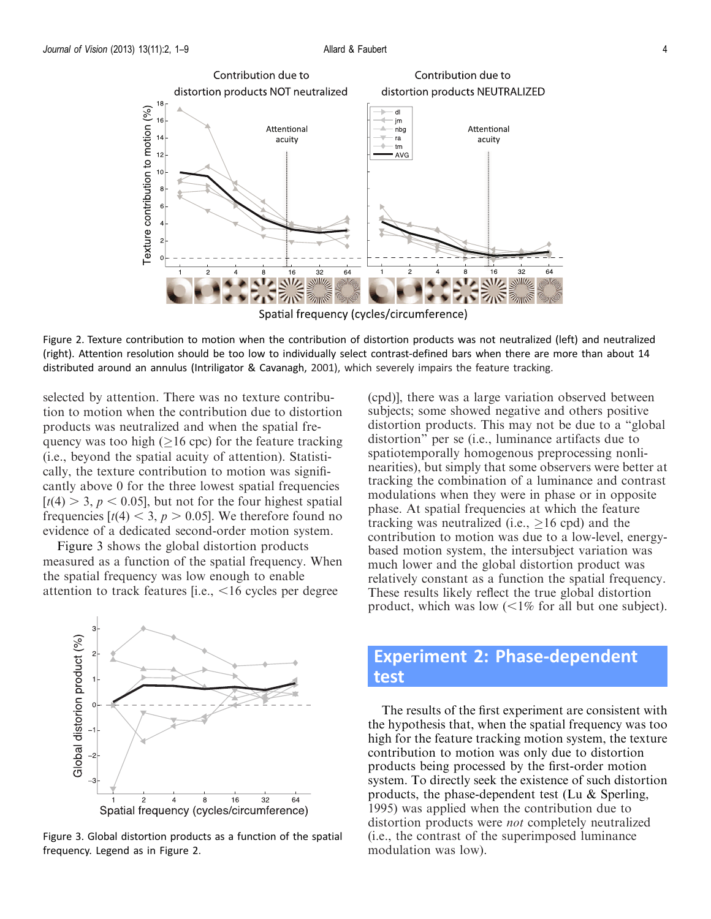<span id="page-3-0"></span>

Figure 2. Texture contribution to motion when the contribution of distortion products was not neutralized (left) and neutralized (right). Attention resolution should be too low to individually select contrast-defined bars when there are more than about 14 distributed around an annulus (Intriligator & Cavanagh, [2001\)](#page-8-0), which severely impairs the feature tracking.

selected by attention. There was no texture contribution to motion when the contribution due to distortion products was neutralized and when the spatial frequency was too high  $(\geq 16$  cpc) for the feature tracking (i.e., beyond the spatial acuity of attention). Statistically, the texture contribution to motion was significantly above 0 for the three lowest spatial frequencies  $[t(4) > 3, p < 0.05]$ , but not for the four highest spatial frequencies  $[t(4) < 3, p > 0.05]$ . We therefore found no evidence of a dedicated second-order motion system.

Figure 3 shows the global distortion products measured as a function of the spatial frequency. When the spatial frequency was low enough to enable attention to track features  $[i.e., <16$  cycles per degree



Figure 3. Global distortion products as a function of the spatial frequency. Legend as in Figure 2.

(cpd)], there was a large variation observed between subjects; some showed negative and others positive distortion products. This may not be due to a ''global distortion'' per se (i.e., luminance artifacts due to spatiotemporally homogenous preprocessing nonlinearities), but simply that some observers were better at tracking the combination of a luminance and contrast modulations when they were in phase or in opposite phase. At spatial frequencies at which the feature tracking was neutralized (i.e.,  $\geq$ 16 cpd) and the contribution to motion was due to a low-level, energybased motion system, the intersubject variation was much lower and the global distortion product was relatively constant as a function the spatial frequency. These results likely reflect the true global distortion product, which was low  $\left($  < 1% for all but one subject).

## Experiment 2: Phase-dependent test

The results of the first experiment are consistent with the hypothesis that, when the spatial frequency was too high for the feature tracking motion system, the texture contribution to motion was only due to distortion products being processed by the first-order motion system. To directly seek the existence of such distortion products, the phase-dependent test (Lu & Sperling, [1995\)](#page-8-0) was applied when the contribution due to distortion products were not completely neutralized (i.e., the contrast of the superimposed luminance modulation was low).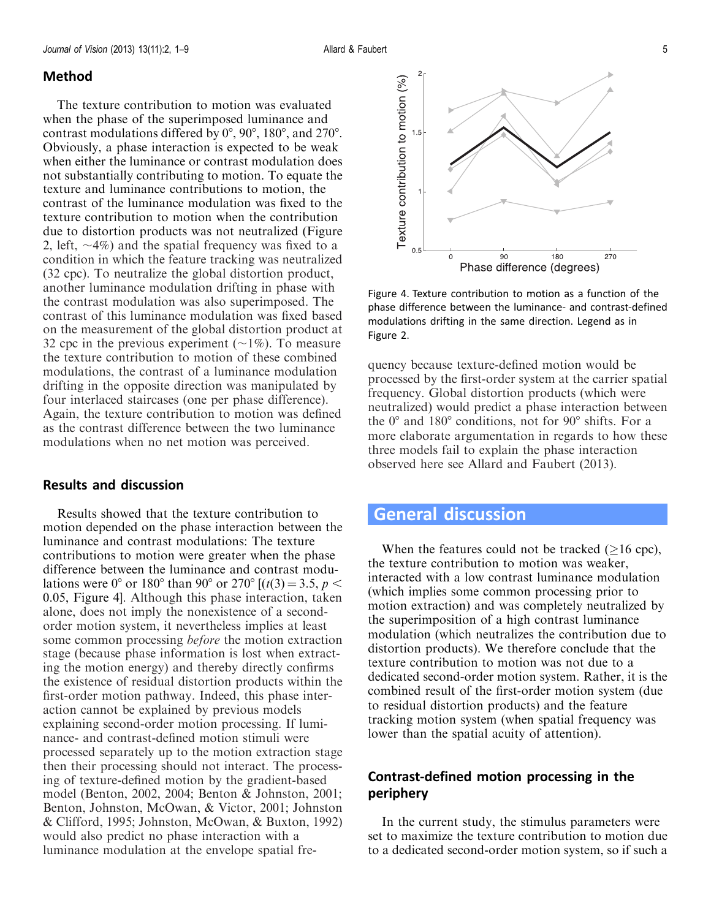#### Method

The texture contribution to motion was evaluated when the phase of the superimposed luminance and contrast modulations differed by  $0^\circ$ ,  $90^\circ$ ,  $180^\circ$ , and  $270^\circ$ . Obviously, a phase interaction is expected to be weak when either the luminance or contrast modulation does not substantially contributing to motion. To equate the texture and luminance contributions to motion, the contrast of the luminance modulation was fixed to the texture contribution to motion when the contribution due to distortion products was not neutralized [\(Figure](#page-3-0) [2](#page-3-0), left,  $\sim$ 4%) and the spatial frequency was fixed to a condition in which the feature tracking was neutralized (32 cpc). To neutralize the global distortion product, another luminance modulation drifting in phase with the contrast modulation was also superimposed. The contrast of this luminance modulation was fixed based on the measurement of the global distortion product at 32 cpc in the previous experiment ( $\sim$ 1%). To measure the texture contribution to motion of these combined modulations, the contrast of a luminance modulation drifting in the opposite direction was manipulated by four interlaced staircases (one per phase difference). Again, the texture contribution to motion was defined as the contrast difference between the two luminance modulations when no net motion was perceived.

#### Results and discussion

Results showed that the texture contribution to motion depended on the phase interaction between the luminance and contrast modulations: The texture contributions to motion were greater when the phase difference between the luminance and contrast modulations were 0° or 180° than 90° or 270° [(t(3) = 3.5, p < 0.05, Figure 4]. Although this phase interaction, taken alone, does not imply the nonexistence of a secondorder motion system, it nevertheless implies at least some common processing *before* the motion extraction stage (because phase information is lost when extracting the motion energy) and thereby directly confirms the existence of residual distortion products within the first-order motion pathway. Indeed, this phase interaction cannot be explained by previous models explaining second-order motion processing. If luminance- and contrast-defined motion stimuli were processed separately up to the motion extraction stage then their processing should not interact. The processing of texture-defined motion by the gradient-based model (Benton, [2002](#page-7-0), [2004](#page-7-0); Benton & Johnston, [2001;](#page-8-0) Benton, Johnston, McOwan, & Victor, [2001;](#page-8-0) Johnston & Clifford, [1995;](#page-8-0) Johnston, McOwan, & Buxton, [1992](#page-8-0)) would also predict no phase interaction with a luminance modulation at the envelope spatial fre-



Figure 4. Texture contribution to motion as a function of the phase difference between the luminance- and contrast-defined modulations drifting in the same direction. Legend as in [Figure 2](#page-3-0).

quency because texture-defined motion would be processed by the first-order system at the carrier spatial frequency. Global distortion products (which were neutralized) would predict a phase interaction between the  $0^{\circ}$  and  $180^{\circ}$  conditions, not for  $90^{\circ}$  shifts. For a more elaborate argumentation in regards to how these three models fail to explain the phase interaction observed here see Allard and Faubert ([2013\)](#page-7-0).

### General discussion

When the features could not be tracked  $(\geq)16$  cpc), the texture contribution to motion was weaker, interacted with a low contrast luminance modulation (which implies some common processing prior to motion extraction) and was completely neutralized by the superimposition of a high contrast luminance modulation (which neutralizes the contribution due to distortion products). We therefore conclude that the texture contribution to motion was not due to a dedicated second-order motion system. Rather, it is the combined result of the first-order motion system (due to residual distortion products) and the feature tracking motion system (when spatial frequency was lower than the spatial acuity of attention).

#### Contrast-defined motion processing in the periphery

In the current study, the stimulus parameters were set to maximize the texture contribution to motion due to a dedicated second-order motion system, so if such a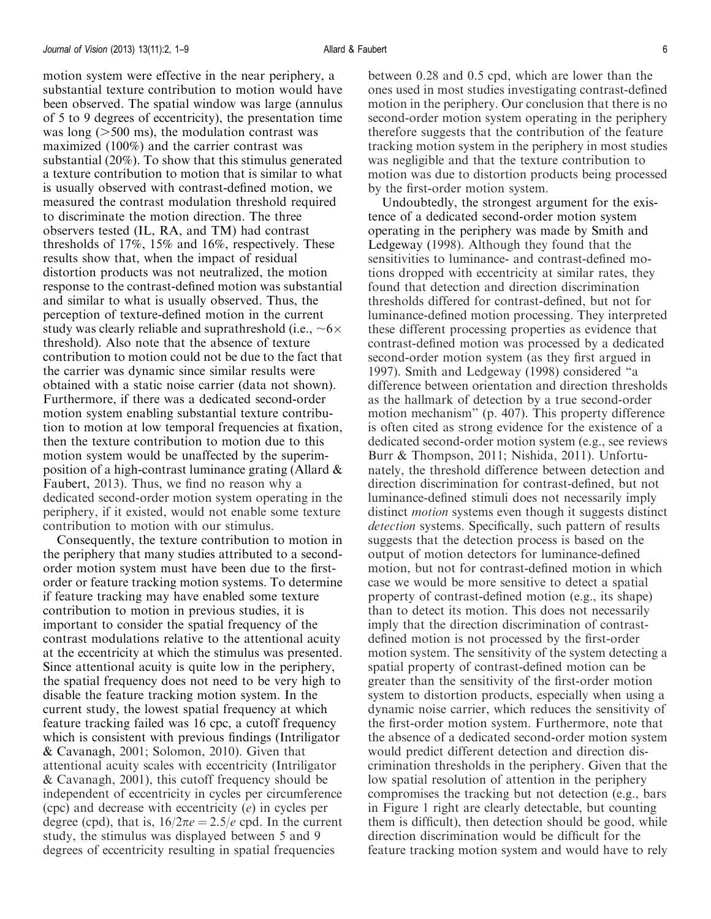motion system were effective in the near periphery, a substantial texture contribution to motion would have been observed. The spatial window was large (annulus of 5 to 9 degrees of eccentricity), the presentation time was long  $(>=500 \text{ ms})$ , the modulation contrast was maximized (100%) and the carrier contrast was substantial (20%). To show that this stimulus generated a texture contribution to motion that is similar to what is usually observed with contrast-defined motion, we measured the contrast modulation threshold required to discriminate the motion direction. The three observers tested (IL, RA, and TM) had contrast thresholds of 17%, 15% and 16%, respectively. These results show that, when the impact of residual distortion products was not neutralized, the motion response to the contrast-defined motion was substantial and similar to what is usually observed. Thus, the perception of texture-defined motion in the current study was clearly reliable and suprathreshold (i.e.,  $\sim 6 \times$ threshold). Also note that the absence of texture contribution to motion could not be due to the fact that the carrier was dynamic since similar results were obtained with a static noise carrier (data not shown). Furthermore, if there was a dedicated second-order motion system enabling substantial texture contribution to motion at low temporal frequencies at fixation, then the texture contribution to motion due to this motion system would be unaffected by the superimposition of a high-contrast luminance grating (Allard & Faubert, [2013](#page-7-0)). Thus, we find no reason why a dedicated second-order motion system operating in the periphery, if it existed, would not enable some texture contribution to motion with our stimulus.

Consequently, the texture contribution to motion in the periphery that many studies attributed to a secondorder motion system must have been due to the firstorder or feature tracking motion systems. To determine if feature tracking may have enabled some texture contribution to motion in previous studies, it is important to consider the spatial frequency of the contrast modulations relative to the attentional acuity at the eccentricity at which the stimulus was presented. Since attentional acuity is quite low in the periphery, the spatial frequency does not need to be very high to disable the feature tracking motion system. In the current study, the lowest spatial frequency at which feature tracking failed was 16 cpc, a cutoff frequency which is consistent with previous findings (Intriligator & Cavanagh, [2001;](#page-8-0) Solomon, [2010](#page-8-0)). Given that attentional acuity scales with eccentricity (Intriligator & Cavanagh, [2001\)](#page-8-0), this cutoff frequency should be independent of eccentricity in cycles per circumference (cpc) and decrease with eccentricity (e) in cycles per degree (cpd), that is,  $16/2\pi e = 2.5/e$  cpd. In the current study, the stimulus was displayed between 5 and 9 degrees of eccentricity resulting in spatial frequencies

by the first-order motion system.

Undoubtedly, the strongest argument for the existence of a dedicated second-order motion system operating in the periphery was made by Smith and Ledgeway [\(1998](#page-8-0)). Although they found that the sensitivities to luminance- and contrast-defined motions dropped with eccentricity at similar rates, they found that detection and direction discrimination thresholds differed for contrast-defined, but not for luminance-defined motion processing. They interpreted these different processing properties as evidence that contrast-defined motion was processed by a dedicated second-order motion system (as they first argued in 1997). Smith and Ledgeway [\(1998](#page-8-0)) considered ''a difference between orientation and direction thresholds as the hallmark of detection by a true second-order motion mechanism'' (p. 407). This property difference is often cited as strong evidence for the existence of a dedicated second-order motion system (e.g., see reviews Burr & Thompson, [2011;](#page-8-0) Nishida, [2011\)](#page-8-0). Unfortunately, the threshold difference between detection and direction discrimination for contrast-defined, but not luminance-defined stimuli does not necessarily imply distinct *motion* systems even though it suggests distinct detection systems. Specifically, such pattern of results suggests that the detection process is based on the output of motion detectors for luminance-defined motion, but not for contrast-defined motion in which case we would be more sensitive to detect a spatial property of contrast-defined motion (e.g., its shape) than to detect its motion. This does not necessarily imply that the direction discrimination of contrastdefined motion is not processed by the first-order motion system. The sensitivity of the system detecting a spatial property of contrast-defined motion can be greater than the sensitivity of the first-order motion system to distortion products, especially when using a dynamic noise carrier, which reduces the sensitivity of the first-order motion system. Furthermore, note that the absence of a dedicated second-order motion system would predict different detection and direction discrimination thresholds in the periphery. Given that the low spatial resolution of attention in the periphery compromises the tracking but not detection (e.g., bars in [Figure 1](#page-1-0) right are clearly detectable, but counting them is difficult), then detection should be good, while direction discrimination would be difficult for the feature tracking motion system and would have to rely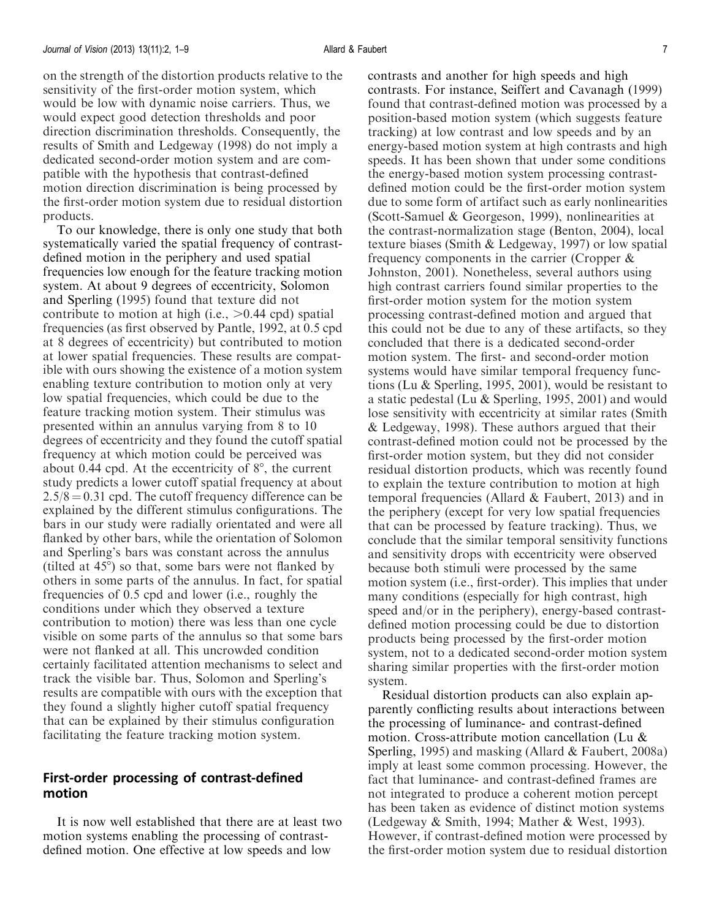on the strength of the distortion products relative to the sensitivity of the first-order motion system, which would be low with dynamic noise carriers. Thus, we would expect good detection thresholds and poor direction discrimination thresholds. Consequently, the results of Smith and Ledgeway [\(1998](#page-8-0)) do not imply a dedicated second-order motion system and are compatible with the hypothesis that contrast-defined motion direction discrimination is being processed by the first-order motion system due to residual distortion products.

To our knowledge, there is only one study that both systematically varied the spatial frequency of contrastdefined motion in the periphery and used spatial frequencies low enough for the feature tracking motion system. At about 9 degrees of eccentricity, Solomon and Sperling [\(1995\)](#page-8-0) found that texture did not contribute to motion at high (i.e.,  $>0.44$  cpd) spatial frequencies (as first observed by Pantle, [1992](#page-8-0), at 0.5 cpd at 8 degrees of eccentricity) but contributed to motion at lower spatial frequencies. These results are compatible with ours showing the existence of a motion system enabling texture contribution to motion only at very low spatial frequencies, which could be due to the feature tracking motion system. Their stimulus was presented within an annulus varying from 8 to 10 degrees of eccentricity and they found the cutoff spatial frequency at which motion could be perceived was about 0.44 cpd. At the eccentricity of  $8^\circ$ , the current study predicts a lower cutoff spatial frequency at about  $2.5/8 = 0.31$  cpd. The cutoff frequency difference can be explained by the different stimulus configurations. The bars in our study were radially orientated and were all flanked by other bars, while the orientation of Solomon and Sperling's bars was constant across the annulus (tilted at  $45^{\circ}$ ) so that, some bars were not flanked by others in some parts of the annulus. In fact, for spatial frequencies of 0.5 cpd and lower (i.e., roughly the conditions under which they observed a texture contribution to motion) there was less than one cycle visible on some parts of the annulus so that some bars were not flanked at all. This uncrowded condition certainly facilitated attention mechanisms to select and track the visible bar. Thus, Solomon and Sperling's results are compatible with ours with the exception that they found a slightly higher cutoff spatial frequency that can be explained by their stimulus configuration facilitating the feature tracking motion system.

#### First-order processing of contrast-defined motion

It is now well established that there are at least two motion systems enabling the processing of contrastdefined motion. One effective at low speeds and low

contrasts and another for high speeds and high contrasts. For instance, Seiffert and Cavanagh ([1999\)](#page-8-0) found that contrast-defined motion was processed by a position-based motion system (which suggests feature tracking) at low contrast and low speeds and by an energy-based motion system at high contrasts and high speeds. It has been shown that under some conditions the energy-based motion system processing contrastdefined motion could be the first-order motion system due to some form of artifact such as early nonlinearities (Scott-Samuel & Georgeson, [1999\)](#page-8-0), nonlinearities at the contrast-normalization stage (Benton, [2004](#page-7-0)), local texture biases (Smith & Ledgeway, [1997](#page-8-0)) or low spatial frequency components in the carrier (Cropper & Johnston, [2001](#page-8-0)). Nonetheless, several authors using high contrast carriers found similar properties to the first-order motion system for the motion system processing contrast-defined motion and argued that this could not be due to any of these artifacts, so they concluded that there is a dedicated second-order motion system. The first- and second-order motion systems would have similar temporal frequency functions (Lu & Sperling, [1995](#page-8-0), [2001](#page-8-0)), would be resistant to a static pedestal (Lu & Sperling, [1995](#page-8-0), [2001](#page-8-0)) and would lose sensitivity with eccentricity at similar rates (Smith & Ledgeway, [1998\)](#page-8-0). These authors argued that their contrast-defined motion could not be processed by the first-order motion system, but they did not consider residual distortion products, which was recently found to explain the texture contribution to motion at high temporal frequencies (Allard & Faubert, [2013](#page-7-0)) and in the periphery (except for very low spatial frequencies that can be processed by feature tracking). Thus, we conclude that the similar temporal sensitivity functions and sensitivity drops with eccentricity were observed because both stimuli were processed by the same motion system (i.e., first-order). This implies that under many conditions (especially for high contrast, high speed and/or in the periphery), energy-based contrastdefined motion processing could be due to distortion products being processed by the first-order motion system, not to a dedicated second-order motion system sharing similar properties with the first-order motion system.

Residual distortion products can also explain apparently conflicting results about interactions between the processing of luminance- and contrast-defined motion. Cross-attribute motion cancellation (Lu  $\&$ Sperling, [1995](#page-8-0)) and masking (Allard & Faubert, [2008a](#page-7-0)) imply at least some common processing. However, the fact that luminance- and contrast-defined frames are not integrated to produce a coherent motion percept has been taken as evidence of distinct motion systems (Ledgeway & Smith, [1994;](#page-8-0) Mather & West, [1993](#page-8-0)). However, if contrast-defined motion were processed by the first-order motion system due to residual distortion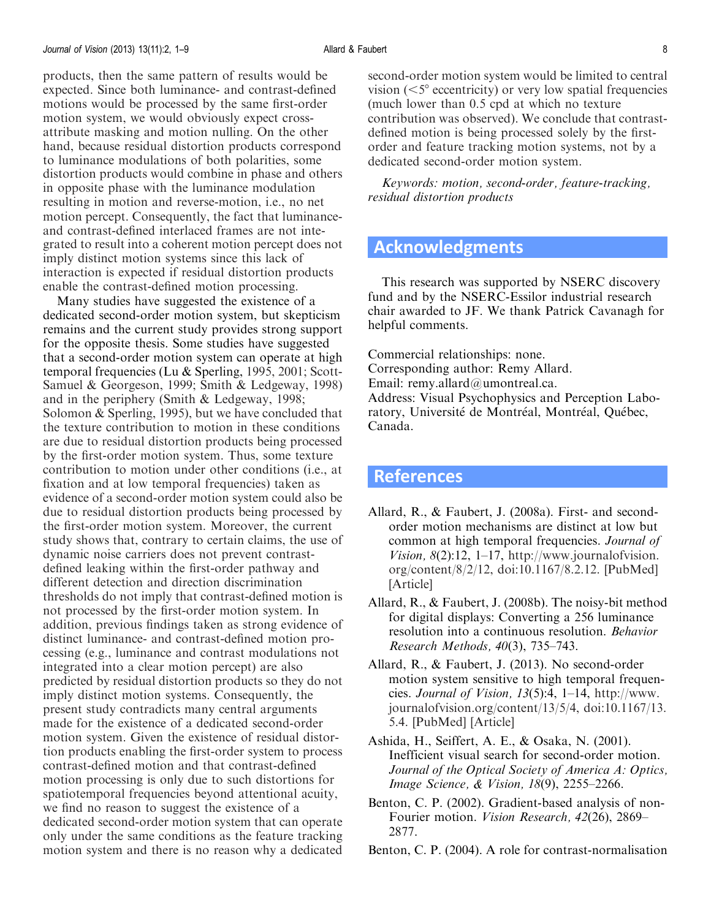<span id="page-7-0"></span>products, then the same pattern of results would be expected. Since both luminance- and contrast-defined motions would be processed by the same first-order motion system, we would obviously expect crossattribute masking and motion nulling. On the other hand, because residual distortion products correspond to luminance modulations of both polarities, some distortion products would combine in phase and others in opposite phase with the luminance modulation resulting in motion and reverse-motion, i.e., no net motion percept. Consequently, the fact that luminanceand contrast-defined interlaced frames are not integrated to result into a coherent motion percept does not imply distinct motion systems since this lack of interaction is expected if residual distortion products enable the contrast-defined motion processing.

Many studies have suggested the existence of a dedicated second-order motion system, but skepticism remains and the current study provides strong support for the opposite thesis. Some studies have suggested that a second-order motion system can operate at high temporal frequencies (Lu & Sperling, [1995](#page-8-0), [2001;](#page-8-0) Scott-Samuel & Georgeson, [1999;](#page-8-0) Smith & Ledgeway, [1998](#page-8-0)) and in the periphery (Smith & Ledgeway, [1998](#page-8-0); Solomon & Sperling, [1995\)](#page-8-0), but we have concluded that the texture contribution to motion in these conditions are due to residual distortion products being processed by the first-order motion system. Thus, some texture contribution to motion under other conditions (i.e., at fixation and at low temporal frequencies) taken as evidence of a second-order motion system could also be due to residual distortion products being processed by the first-order motion system. Moreover, the current study shows that, contrary to certain claims, the use of dynamic noise carriers does not prevent contrastdefined leaking within the first-order pathway and different detection and direction discrimination thresholds do not imply that contrast-defined motion is not processed by the first-order motion system. In addition, previous findings taken as strong evidence of distinct luminance- and contrast-defined motion processing (e.g., luminance and contrast modulations not integrated into a clear motion percept) are also predicted by residual distortion products so they do not imply distinct motion systems. Consequently, the present study contradicts many central arguments made for the existence of a dedicated second-order motion system. Given the existence of residual distortion products enabling the first-order system to process contrast-defined motion and that contrast-defined motion processing is only due to such distortions for spatiotemporal frequencies beyond attentional acuity, we find no reason to suggest the existence of a dedicated second-order motion system that can operate only under the same conditions as the feature tracking motion system and there is no reason why a dedicated

second-order motion system would be limited to central vision ( $\leq 5^{\circ}$  eccentricity) or very low spatial frequencies (much lower than 0.5 cpd at which no texture contribution was observed). We conclude that contrastdefined motion is being processed solely by the firstorder and feature tracking motion systems, not by a dedicated second-order motion system.

Keywords: motion, second-order, feature-tracking, residual distortion products

### Acknowledgments

This research was supported by NSERC discovery fund and by the NSERC-Essilor industrial research chair awarded to JF. We thank Patrick Cavanagh for helpful comments.

Commercial relationships: none.

Corresponding author: Remy Allard.

Email: remy.allard@umontreal.ca.

Address: Visual Psychophysics and Perception Laboratory, Université de Montréal, Montréal, Québec, Canada.

## **References**

- Allard, R., & Faubert, J. (2008a). First- and secondorder motion mechanisms are distinct at low but common at high temporal frequencies. Journal of Vision,  $8(2)$ :12, 1–17, [http://www.journalofvision.](http://www.journalofvision.org/content/8/2/12) [org/content/8/2/12](http://www.journalofvision.org/content/8/2/12), doi:10.1167/8.2.12. [[PubMed\]](http://www.ncbi.nlm.nih.gov/pubmed/18318638) [[Article\]](http://www.journalofvision.org/content/8/2/12.long)
- Allard, R., & Faubert, J. (2008b). The noisy-bit method for digital displays: Converting a 256 luminance resolution into a continuous resolution. Behavior Research Methods, 40(3), 735–743.
- Allard, R., & Faubert, J. (2013). No second-order motion system sensitive to high temporal frequencies. Journal of Vision, 13(5):4, 1–14, [http://www.](http://www.journalofvision.org/content/13/5/4) [journalofvision.org/content/13/5/4](http://www.journalofvision.org/content/13/5/4), doi:10.1167/13. 5.4. [\[PubMed\]](http://www.ncbi.nlm.nih.gov/pubmed/23559594) [\[Article](http://www.journalofvision.org/content/13/5/4.long)]
- Ashida, H., Seiffert, A. E., & Osaka, N. (2001). Inefficient visual search for second-order motion. Journal of the Optical Society of America A: Optics, Image Science, & Vision, 18(9), 2255–2266.
- Benton, C. P. (2002). Gradient-based analysis of non-Fourier motion. Vision Research, 42(26), 2869– 2877.

Benton, C. P. (2004). A role for contrast-normalisation